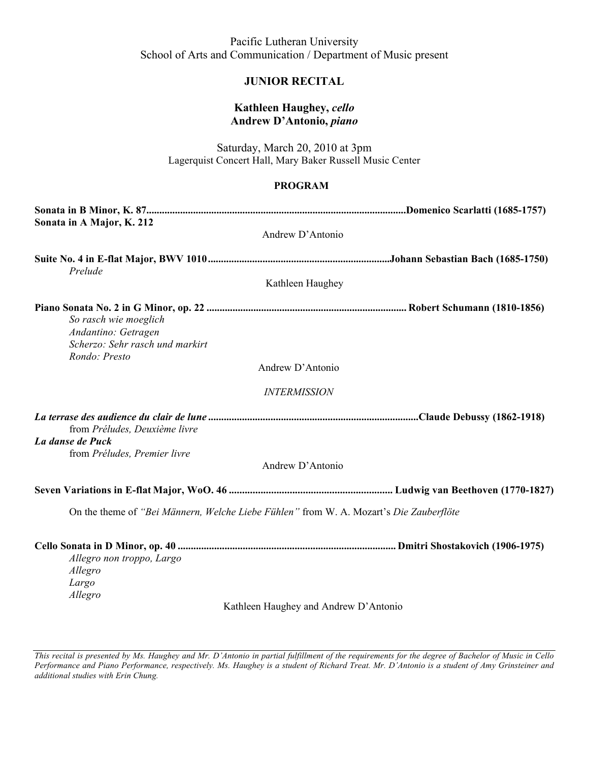Pacific Lutheran University School of Arts and Communication / Department of Music present

## **JUNIOR RECITAL**

### **Kathleen Haughey,** *cello* **Andrew D'Antonio,** *piano*

Saturday, March 20, 2010 at 3pm Lagerquist Concert Hall, Mary Baker Russell Music Center

### **PROGRAM**

| Sonata in A Major, K. 212                                                                        |                                                                                        |
|--------------------------------------------------------------------------------------------------|----------------------------------------------------------------------------------------|
|                                                                                                  | Andrew D'Antonio                                                                       |
| Prelude                                                                                          |                                                                                        |
|                                                                                                  | Kathleen Haughey                                                                       |
| So rasch wie moeglich<br>Andantino: Getragen<br>Scherzo: Sehr rasch und markirt<br>Rondo: Presto |                                                                                        |
|                                                                                                  | Andrew D'Antonio                                                                       |
|                                                                                                  | <b>INTERMISSION</b>                                                                    |
| from Préludes, Deuxième livre                                                                    |                                                                                        |
| La danse de Puck                                                                                 |                                                                                        |
| from Préludes, Premier livre                                                                     |                                                                                        |
|                                                                                                  | Andrew D'Antonio                                                                       |
|                                                                                                  |                                                                                        |
|                                                                                                  | On the theme of "Bei Männern, Welche Liebe Fühlen" from W. A. Mozart's Die Zauberflöte |
| Allegro non troppo, Largo<br>Allegro<br>Largo<br>Allegro                                         |                                                                                        |

Kathleen Haughey and Andrew D'Antonio

*This recital is presented by Ms. Haughey and Mr. D'Antonio in partial fulfillment of the requirements for the degree of Bachelor of Music in Cello Performance and Piano Performance, respectively. Ms. Haughey is a student of Richard Treat. Mr. D'Antonio is a student of Amy Grinsteiner and additional studies with Erin Chung.*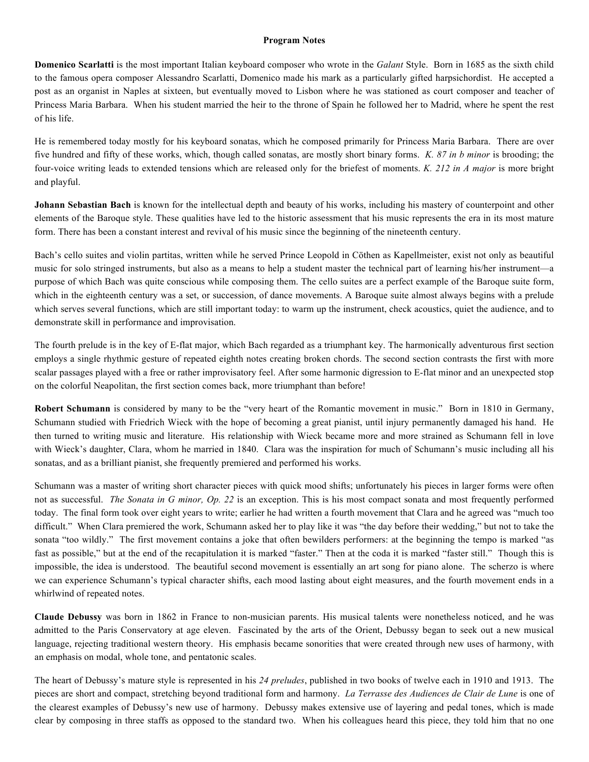#### **Program Notes**

**Domenico Scarlatti** is the most important Italian keyboard composer who wrote in the *Galant* Style. Born in 1685 as the sixth child to the famous opera composer Alessandro Scarlatti, Domenico made his mark as a particularly gifted harpsichordist. He accepted a post as an organist in Naples at sixteen, but eventually moved to Lisbon where he was stationed as court composer and teacher of Princess Maria Barbara. When his student married the heir to the throne of Spain he followed her to Madrid, where he spent the rest of his life.

He is remembered today mostly for his keyboard sonatas, which he composed primarily for Princess Maria Barbara. There are over five hundred and fifty of these works, which, though called sonatas, are mostly short binary forms. *K. 87 in b minor* is brooding; the four-voice writing leads to extended tensions which are released only for the briefest of moments. *K. 212 in A major* is more bright and playful.

**Johann Sebastian Bach** is known for the intellectual depth and beauty of his works, including his mastery of counterpoint and other elements of the Baroque style. These qualities have led to the historic assessment that his music represents the era in its most mature form. There has been a constant interest and revival of his music since the beginning of the nineteenth century.

Bach's cello suites and violin partitas, written while he served Prince Leopold in Cöthen as Kapellmeister, exist not only as beautiful music for solo stringed instruments, but also as a means to help a student master the technical part of learning his/her instrument—a purpose of which Bach was quite conscious while composing them. The cello suites are a perfect example of the Baroque suite form, which in the eighteenth century was a set, or succession, of dance movements. A Baroque suite almost always begins with a prelude which serves several functions, which are still important today: to warm up the instrument, check acoustics, quiet the audience, and to demonstrate skill in performance and improvisation.

The fourth prelude is in the key of E-flat major, which Bach regarded as a triumphant key. The harmonically adventurous first section employs a single rhythmic gesture of repeated eighth notes creating broken chords. The second section contrasts the first with more scalar passages played with a free or rather improvisatory feel. After some harmonic digression to E-flat minor and an unexpected stop on the colorful Neapolitan, the first section comes back, more triumphant than before!

**Robert Schumann** is considered by many to be the "very heart of the Romantic movement in music." Born in 1810 in Germany, Schumann studied with Friedrich Wieck with the hope of becoming a great pianist, until injury permanently damaged his hand. He then turned to writing music and literature. His relationship with Wieck became more and more strained as Schumann fell in love with Wieck's daughter, Clara, whom he married in 1840. Clara was the inspiration for much of Schumann's music including all his sonatas, and as a brilliant pianist, she frequently premiered and performed his works.

Schumann was a master of writing short character pieces with quick mood shifts; unfortunately his pieces in larger forms were often not as successful. *The Sonata in G minor, Op. 22* is an exception. This is his most compact sonata and most frequently performed today. The final form took over eight years to write; earlier he had written a fourth movement that Clara and he agreed was "much too difficult." When Clara premiered the work, Schumann asked her to play like it was "the day before their wedding," but not to take the sonata "too wildly." The first movement contains a joke that often bewilders performers: at the beginning the tempo is marked "as fast as possible," but at the end of the recapitulation it is marked "faster." Then at the coda it is marked "faster still." Though this is impossible, the idea is understood. The beautiful second movement is essentially an art song for piano alone. The scherzo is where we can experience Schumann's typical character shifts, each mood lasting about eight measures, and the fourth movement ends in a whirlwind of repeated notes.

**Claude Debussy** was born in 1862 in France to non-musician parents. His musical talents were nonetheless noticed, and he was admitted to the Paris Conservatory at age eleven. Fascinated by the arts of the Orient, Debussy began to seek out a new musical language, rejecting traditional western theory. His emphasis became sonorities that were created through new uses of harmony, with an emphasis on modal, whole tone, and pentatonic scales.

The heart of Debussy's mature style is represented in his *24 preludes*, published in two books of twelve each in 1910 and 1913. The pieces are short and compact, stretching beyond traditional form and harmony. *La Terrasse des Audiences de Clair de Lune* is one of the clearest examples of Debussy's new use of harmony. Debussy makes extensive use of layering and pedal tones, which is made clear by composing in three staffs as opposed to the standard two. When his colleagues heard this piece, they told him that no one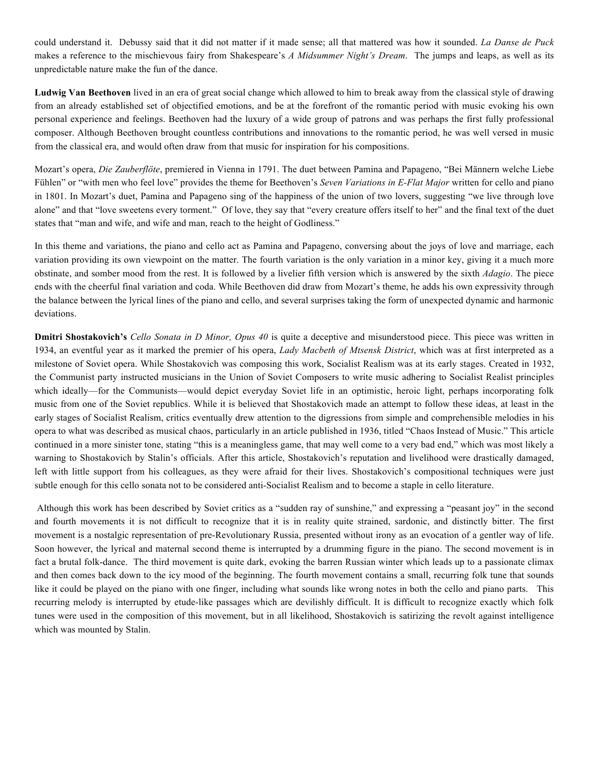could understand it. Debussy said that it did not matter if it made sense; all that mattered was how it sounded. *La Danse de Puck* makes a reference to the mischievous fairy from Shakespeare's *A Midsummer Night's Dream*. The jumps and leaps, as well as its unpredictable nature make the fun of the dance.

**Ludwig Van Beethoven** lived in an era of great social change which allowed to him to break away from the classical style of drawing from an already established set of objectified emotions, and be at the forefront of the romantic period with music evoking his own personal experience and feelings. Beethoven had the luxury of a wide group of patrons and was perhaps the first fully professional composer. Although Beethoven brought countless contributions and innovations to the romantic period, he was well versed in music from the classical era, and would often draw from that music for inspiration for his compositions.

Mozart's opera, *Die Zauberflöte*, premiered in Vienna in 1791. The duet between Pamina and Papageno, "Bei Männern welche Liebe Fühlen" or "with men who feel love" provides the theme for Beethoven's *Seven Variations in E-Flat Major* written for cello and piano in 1801. In Mozart's duet, Pamina and Papageno sing of the happiness of the union of two lovers, suggesting "we live through love alone" and that "love sweetens every torment." Of love, they say that "every creature offers itself to her" and the final text of the duet states that "man and wife, and wife and man, reach to the height of Godliness."

In this theme and variations, the piano and cello act as Pamina and Papageno, conversing about the joys of love and marriage, each variation providing its own viewpoint on the matter. The fourth variation is the only variation in a minor key, giving it a much more obstinate, and somber mood from the rest. It is followed by a livelier fifth version which is answered by the sixth *Adagio*. The piece ends with the cheerful final variation and coda. While Beethoven did draw from Mozart's theme, he adds his own expressivity through the balance between the lyrical lines of the piano and cello, and several surprises taking the form of unexpected dynamic and harmonic deviations.

**Dmitri Shostakovich's** *Cello Sonata in D Minor, Opus 40* is quite a deceptive and misunderstood piece. This piece was written in 1934, an eventful year as it marked the premier of his opera, *Lady Macbeth of Mtsensk District*, which was at first interpreted as a milestone of Soviet opera. While Shostakovich was composing this work, Socialist Realism was at its early stages. Created in 1932, the Communist party instructed musicians in the Union of Soviet Composers to write music adhering to Socialist Realist principles which ideally—for the Communists—would depict everyday Soviet life in an optimistic, heroic light, perhaps incorporating folk music from one of the Soviet republics. While it is believed that Shostakovich made an attempt to follow these ideas, at least in the early stages of Socialist Realism, critics eventually drew attention to the digressions from simple and comprehensible melodies in his opera to what was described as musical chaos, particularly in an article published in 1936, titled "Chaos Instead of Music." This article continued in a more sinister tone, stating "this is a meaningless game, that may well come to a very bad end," which was most likely a warning to Shostakovich by Stalin's officials. After this article, Shostakovich's reputation and livelihood were drastically damaged, left with little support from his colleagues, as they were afraid for their lives. Shostakovich's compositional techniques were just subtle enough for this cello sonata not to be considered anti-Socialist Realism and to become a staple in cello literature.

 Although this work has been described by Soviet critics as a "sudden ray of sunshine," and expressing a "peasant joy" in the second and fourth movements it is not difficult to recognize that it is in reality quite strained, sardonic, and distinctly bitter. The first movement is a nostalgic representation of pre-Revolutionary Russia, presented without irony as an evocation of a gentler way of life. Soon however, the lyrical and maternal second theme is interrupted by a drumming figure in the piano. The second movement is in fact a brutal folk-dance. The third movement is quite dark, evoking the barren Russian winter which leads up to a passionate climax and then comes back down to the icy mood of the beginning. The fourth movement contains a small, recurring folk tune that sounds like it could be played on the piano with one finger, including what sounds like wrong notes in both the cello and piano parts. This recurring melody is interrupted by etude-like passages which are devilishly difficult. It is difficult to recognize exactly which folk tunes were used in the composition of this movement, but in all likelihood, Shostakovich is satirizing the revolt against intelligence which was mounted by Stalin.